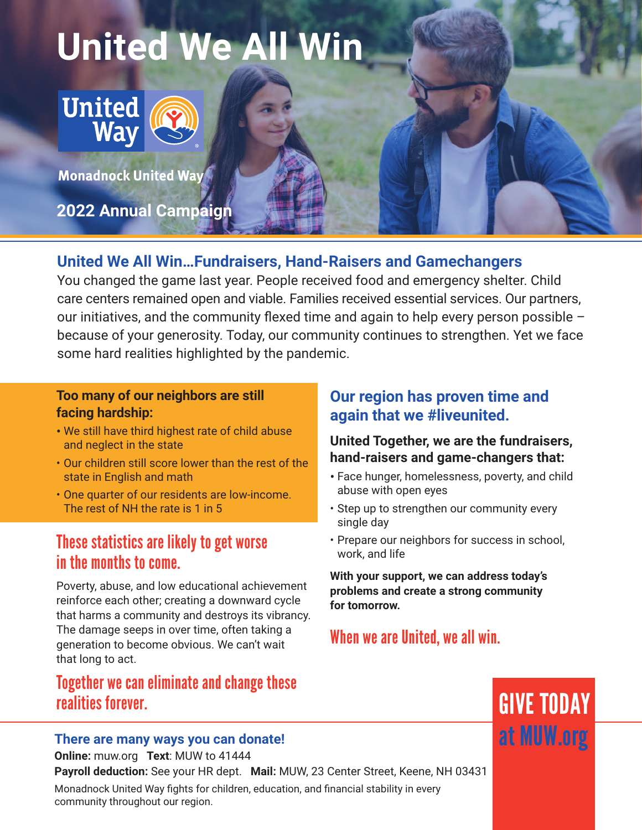# **United We All Win**



**Monadnock United Way** 

**2022 Annual Campaign**

## **United We All Win…Fundraisers, Hand-Raisers and Gamechangers**

You changed the game last year. People received food and emergency shelter. Child care centers remained open and viable. Families received essential services. Our partners, our initiatives, and the community flexed time and again to help every person possible – because of your generosity. Today, our community continues to strengthen. Yet we face some hard realities highlighted by the pandemic.

## **Too many of our neighbors are still facing hardship:**

- We still have third highest rate of child abuse and neglect in the state
- Our children still score lower than the rest of the state in English and math
- One quarter of our residents are low-income. The rest of NH the rate is 1 in 5

# These statistics are likely to get worse in the months to come.

Poverty, abuse, and low educational achievement reinforce each other; creating a downward cycle that harms a community and destroys its vibrancy. The damage seeps in over time, often taking a generation to become obvious. We can't wait that long to act.

# Together we can eliminate and change these realities forever. '

## **There are many ways you can donate!**

**Online:** muw.org **Text**: MUW to 41444

**Payroll deduction:** See your HR dept. **Mail:** MUW, 23 Center Street, Keene, NH 03431 Monadnock United Way fights for children, education, and financial stability in every community throughout our region.

## **Our region has proven time and again that we #liveunited.**

## **United Together, we are the fundraisers, hand-raisers and game-changers that:**

- Face hunger, homelessness, poverty, and child abuse with open eyes
- Step up to strengthen our community every single day
- Prepare our neighbors for success in school, work, and life

**With your support, we can address today's problems and create a strong community for tomorrow.**

# When we are United, we all win.